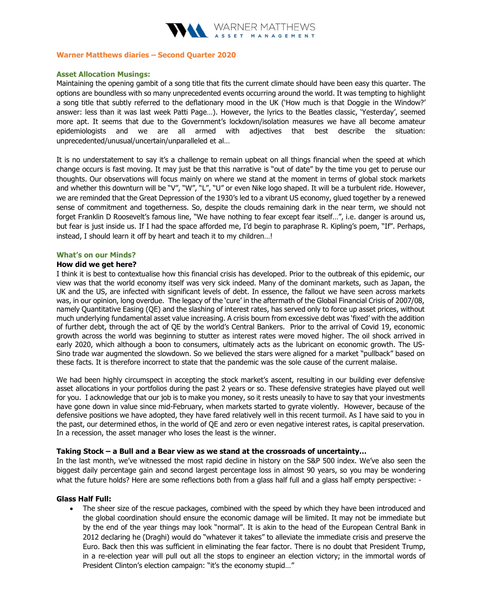

#### Warner Matthews diaries – Second Quarter 2020

## Asset Allocation Musings:

Maintaining the opening gambit of a song title that fits the current climate should have been easy this quarter. The options are boundless with so many unprecedented events occurring around the world. It was tempting to highlight a song title that subtly referred to the deflationary mood in the UK ('How much is that Doggie in the Window?' answer: less than it was last week Patti Page…). However, the lyrics to the Beatles classic, 'Yesterday', seemed more apt. It seems that due to the Government's lockdown/isolation measures we have all become amateur epidemiologists and we are all armed with adjectives that best describe the situation: unprecedented/unusual/uncertain/unparalleled et al…

It is no understatement to say it's a challenge to remain upbeat on all things financial when the speed at which change occurs is fast moving. It may just be that this narrative is "out of date" by the time you get to peruse our thoughts. Our observations will focus mainly on where we stand at the moment in terms of global stock markets and whether this downturn will be "V", "W", "L", "U" or even Nike logo shaped. It will be a turbulent ride. However, we are reminded that the Great Depression of the 1930's led to a vibrant US economy, glued together by a renewed sense of commitment and togetherness. So, despite the clouds remaining dark in the near term, we should not forget Franklin D Roosevelt's famous line, "We have nothing to fear except fear itself…", i.e. danger is around us, but fear is just inside us. If I had the space afforded me, I'd begin to paraphrase R. Kipling's poem, "If". Perhaps, instead, I should learn it off by heart and teach it to my children…!

#### What's on our Minds?

#### How did we get here?

I think it is best to contextualise how this financial crisis has developed. Prior to the outbreak of this epidemic, our view was that the world economy itself was very sick indeed. Many of the dominant markets, such as Japan, the UK and the US, are infected with significant levels of debt. In essence, the fallout we have seen across markets was, in our opinion, long overdue. The legacy of the 'cure' in the aftermath of the Global Financial Crisis of 2007/08, namely Quantitative Easing (QE) and the slashing of interest rates, has served only to force up asset prices, without much underlying fundamental asset value increasing. A crisis bourn from excessive debt was 'fixed' with the addition of further debt, through the act of QE by the world's Central Bankers. Prior to the arrival of Covid 19, economic growth across the world was beginning to stutter as interest rates were moved higher. The oil shock arrived in early 2020, which although a boon to consumers, ultimately acts as the lubricant on economic growth. The US-Sino trade war augmented the slowdown. So we believed the stars were aligned for a market "pullback" based on these facts. It is therefore incorrect to state that the pandemic was the sole cause of the current malaise.

We had been highly circumspect in accepting the stock market's ascent, resulting in our building ever defensive asset allocations in your portfolios during the past 2 years or so. These defensive strategies have played out well for you. I acknowledge that our job is to make you money, so it rests uneasily to have to say that your investments have gone down in value since mid-February, when markets started to gyrate violently. However, because of the defensive positions we have adopted, they have fared relatively well in this recent turmoil. As I have said to you in the past, our determined ethos, in the world of QE and zero or even negative interest rates, is capital preservation. In a recession, the asset manager who loses the least is the winner.

## Taking Stock – a Bull and a Bear view as we stand at the crossroads of uncertainty…

In the last month, we've witnessed the most rapid decline in history on the S&P 500 index. We've also seen the biggest daily percentage gain and second largest percentage loss in almost 90 years, so you may be wondering what the future holds? Here are some reflections both from a glass half full and a glass half empty perspective: -

## Glass Half Full:

• The sheer size of the rescue packages, combined with the speed by which they have been introduced and the global coordination should ensure the economic damage will be limited. It may not be immediate but by the end of the year things may look "normal". It is akin to the head of the European Central Bank in 2012 declaring he (Draghi) would do "whatever it takes" to alleviate the immediate crisis and preserve the Euro. Back then this was sufficient in eliminating the fear factor. There is no doubt that President Trump, in a re-election year will pull out all the stops to engineer an election victory; in the immortal words of President Clinton's election campaign: "it's the economy stupid…"